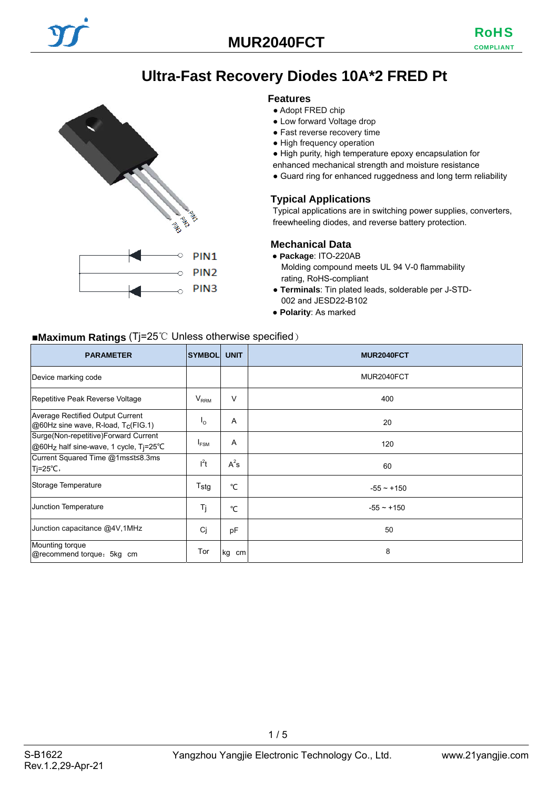# **Ultra-Fast Recovery Diodes 10A\*2 FRED Pt**

#### **Features**

● Adopt FRED chip

- Low forward Voltage drop
- Fast reverse recovery time
- High frequency operation
- High purity, high temperature epoxy encapsulation for
- enhanced mechanical strength and moisture resistance
- Guard ring for enhanced ruggedness and long term reliability

#### **Typical Applications**

Typical applications are in switching power supplies, converters, freewheeling diodes, and reverse battery protection.

#### **Mechanical Data**

- **Package**: ITO-220AB
	- Molding compound meets UL 94 V-0 flammability rating, RoHS-compliant
- **Terminals**: Tin plated leads, solderable per J-STD-002 and JESD22-B102
- **Polarity**: As marked

## ■**Maximum Ratings** (Tj=25℃ Unless otherwise specified)

PAS

Č

PIN<sub>1</sub> PIN<sub>2</sub> PIN<sub>3</sub>

| <b>PARAMETER</b>                                                               | <b>SYMBOL</b>             | <b>UNIT</b> | <b>MUR2040FCT</b> |
|--------------------------------------------------------------------------------|---------------------------|-------------|-------------------|
| Device marking code                                                            |                           |             | MUR2040FCT        |
| Repetitive Peak Reverse Voltage                                                | $V_{RRM}$                 | V           | 400               |
| Average Rectified Output Current<br>@60Hz sine wave, R-load, Tc(FIG.1)         | $\mathsf{I}_{\mathsf{O}}$ | A           | 20                |
| Surge(Non-repetitive)Forward Current<br>@60Hz half sine-wave, 1 cycle, Ti=25°C | <sup>I</sup> FSM          | Α           | 120               |
| Current Squared Time @1ms≤t≤8.3ms<br>Tj=25°C,                                  | $l^2t$                    | $A^2s$      | 60                |
| Storage Temperature                                                            | Tstq                      | °C          | $-55 - +150$      |
| Junction Temperature                                                           | Tj                        | °C          | $-55 - +150$      |
| Junction capacitance @4V,1MHz                                                  | Cj                        | pF          | 50                |
| Mounting torque<br>@recommend torque: 5kg cm                                   | Tor                       | kg cm       | 8                 |

 $1/5$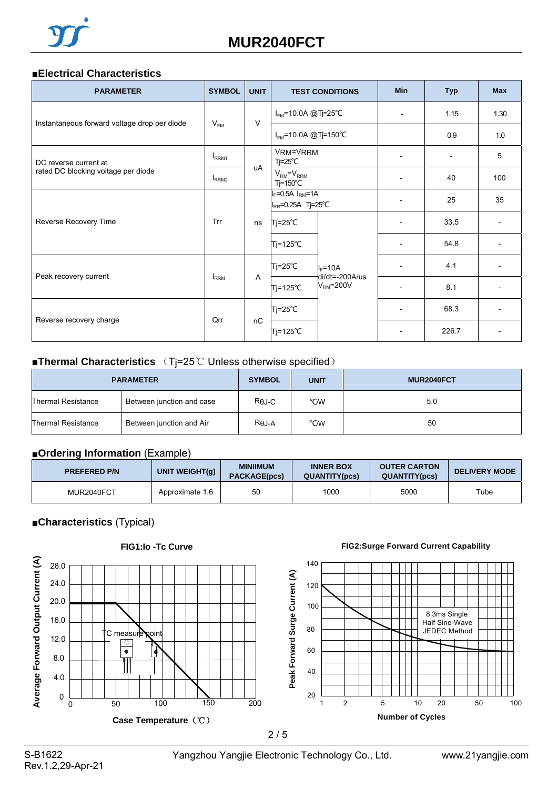#### ■**Electrical Characteristics**

| <b>PARAMETER</b>                                                 | <b>SYMBOL</b>     | <b>UNIT</b> |                                                       | <b>TEST CONDITIONS</b>   | <b>Min</b>               | <b>Typ</b> | <b>Max</b>               |
|------------------------------------------------------------------|-------------------|-------------|-------------------------------------------------------|--------------------------|--------------------------|------------|--------------------------|
| Instantaneous forward voltage drop per diode                     | $V_{FM}$          | $\vee$      | $I_{FM}$ =10.0A @Tj=25°C                              |                          | $\overline{\phantom{a}}$ | 1.15       | 1.30                     |
|                                                                  |                   |             | $I_{FM}$ =10.0A @Tj=150°C                             |                          |                          | 0.9        | 1.0                      |
| DC reverse current at                                            | I <sub>RRM1</sub> |             | VRM=VRRM<br>$Tj = 25^{\circ}C$                        |                          |                          |            | 5                        |
| rated DC blocking voltage per diode                              | I <sub>RRM2</sub> | uA          | $V_{\rm RM} = V_{\rm RRM}$<br>Tj=150°C                |                          |                          | 40         | 100                      |
|                                                                  |                   | ns          | $I_F = 0.5A$ $I_{RM} = 1A$<br>$I_{RR}$ =0.25A Tj=25°C |                          | $\overline{\phantom{a}}$ | 25         | 35                       |
| Reverse Recovery Time                                            | Trr               |             | Tj=25℃                                                | $I_F = 10A$              |                          | 33.5       |                          |
|                                                                  |                   |             | Tj=125℃                                               |                          |                          | 54.8       |                          |
|                                                                  |                   |             | $Tj = 25^{\circ}C$                                    |                          |                          | 4.1        |                          |
| Peak recovery current<br><b>IRRM</b><br>A<br>$Tj = 125^{\circ}C$ |                   |             | di/dt=-200A/us<br>$VRM=200V$                          | $\overline{\phantom{a}}$ | 8.1                      |            |                          |
|                                                                  |                   | nC          | $Tj = 25^{\circ}C$                                    |                          | $\overline{\phantom{a}}$ | 68.3       | $\overline{\phantom{a}}$ |
| Reverse recovery charge                                          | Qrr               |             | Tj=125℃                                               |                          |                          | 226.7      |                          |

### ■**Thermal Characteristics** (T<sub>j</sub>=25℃ Unless otherwise specified)

| <b>PARAMETER</b>   |                           | <b>SYMBOL</b> | <b>UNIT</b> | MUR2040FCT |
|--------------------|---------------------------|---------------|-------------|------------|
| Thermal Resistance | Between junction and case | Rej-C         | °CW         | 5.0        |
| Thermal Resistance | Between junction and Air  | $R\theta J-A$ | °CW         | 50         |

## ■**Ordering Information** (Example)

| <b>PREFERED P/N</b> | UNIT WEIGHT(q)  | <b>MINIIMUM</b><br><b>PACKAGE(pcs)</b> | <b>INNER BOX</b><br><b>QUANTITY(pcs)</b> | <b>OUTER CARTON</b><br><b>QUANTITY(pcs)</b> | <b>DELIVERY MODE</b> |
|---------------------|-----------------|----------------------------------------|------------------------------------------|---------------------------------------------|----------------------|
| MUR2040FCT          | Approximate 1.6 | 50                                     | 1000                                     | 5000                                        | Tube                 |

## ■**Characteristics** (Typical)

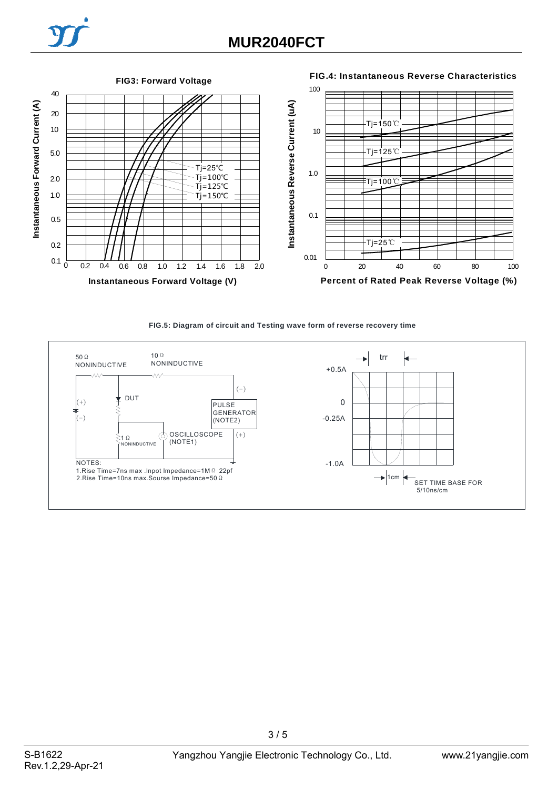## **FIG3: Forward Voltage**

#### **FIG.4: Instantaneous Reverse Characteristics**



#### **FIG.5: Diagram of circuit and Testing wave form of reverse recovery time**



3 / 5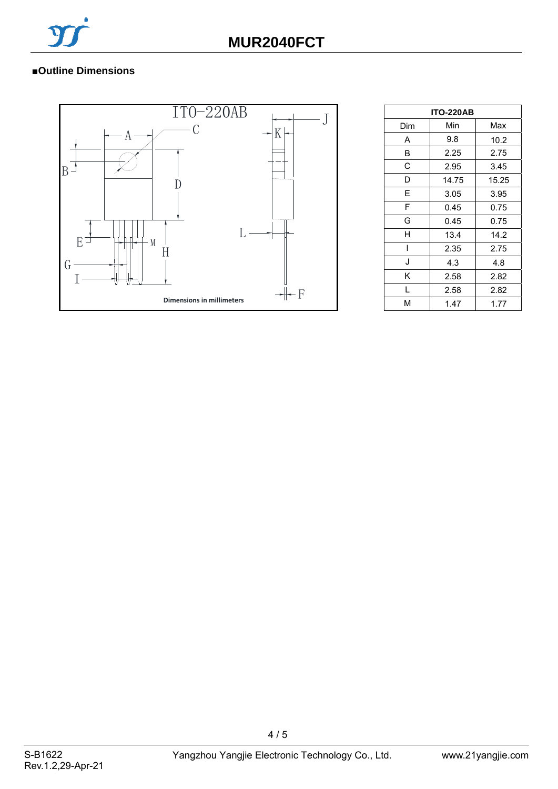

## ■**Outline Dimensions**



| <b>ITO-220AB</b> |       |       |  |  |
|------------------|-------|-------|--|--|
| Dim              | Min   | Max   |  |  |
| A                | 9.8   | 10.2  |  |  |
| B                | 2.25  | 2.75  |  |  |
| C                | 2.95  | 3.45  |  |  |
| D                | 14.75 | 15.25 |  |  |
| E                | 3.05  | 3.95  |  |  |
| F                | 0.45  | 0.75  |  |  |
| G                | 0.45  | 0.75  |  |  |
| н                | 13.4  | 14.2  |  |  |
|                  | 2.35  | 2.75  |  |  |
| J                | 4.3   | 4.8   |  |  |
| κ                | 2.58  | 2.82  |  |  |
| L                | 2.58  | 2.82  |  |  |
| м                | 1.47  | 1.77  |  |  |